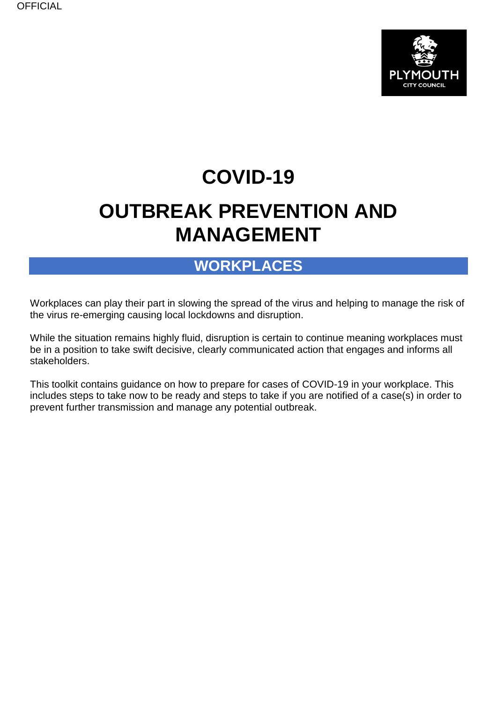

# **COVID-19**

# **OUTBREAK PREVENTION AND MANAGEMENT**

### **WORKPLACES**

Workplaces can play their part in slowing the spread of the virus and helping to manage the risk of the virus re-emerging causing local lockdowns and disruption.

While the situation remains highly fluid, disruption is certain to continue meaning workplaces must be in a position to take swift decisive, clearly communicated action that engages and informs all stakeholders.

This toolkit contains guidance on how to prepare for cases of COVID-19 in your workplace. This includes steps to take now to be ready and steps to take if you are notified of a case(s) in order to prevent further transmission and manage any potential outbreak.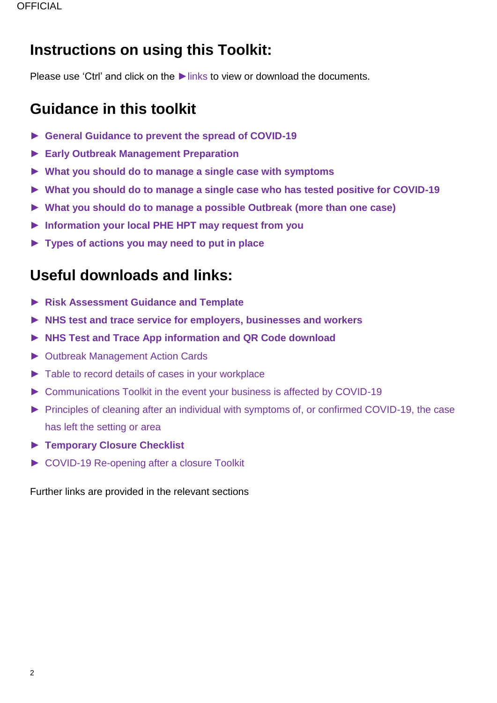## **Instructions on using this Toolkit:**

Please use 'Ctrl' and click on the ► links to view or download the documents.

## **Guidance in this toolkit**

- ► **[General Guidance to prevent the spread of COVID-19](#page-1-0)**
- ► **[Early Outbreak Management](#page-5-0) Preparation**
- ► **[What you should do to manage a single case with symptoms](#page-12-0)**
- ► **[What you should do to manage a single case who has tested positive for COVID-19](#page-13-0)**
- ► **[What you should do to manage a possible Outbreak \(more than one case\)](#page-13-1)**
- ► **[Information your local PHE HPT may request from you](#page-15-0)**
- ► **[Types of actions you may need to put in place](#page-16-0)**

## **Useful downloads and links:**

- ► **[Risk Assessment Guidance and Template](https://www.heartofswgrowthhub.co.uk/wp-content/uploads/2020/09/COVID-19-RISK-ASSESSMENT-TOOLKIT.pdf)**
- ► **[NHS test and trace service for employers, businesses and workers](https://www.gov.uk/guidance/nhs-test-and-trace-workplace-guidance?utm_source=3ad1e505-7776-4963-b366-f718239cf904&utm_medium=email&utm_campaign=govuk-notifications&utm_content=immediate)**
- ► **NHS Test and Trace [App information and QR Code download](https://covid19.nhs.uk/information-for-businesses.html)**
- ► [Outbreak Management Action Cards](https://www.gov.uk/government/publications/reporting-outbreaks-of-coronavirus-covid-19/covid-19-early-outbreak-management)
- ► [Table to record details of cases in your workplace](#page-19-0)
- ► [Communications Toolkit in the event your business is affected by COVID-19](https://www.visitplymouth.co.uk/dbimgs/Coronavirus%20Outbreak%20Toolkit%20PLYMOUTH.pdf)
- ► [Principles of cleaning after an individual with symptoms of, or confirmed COVID-19, the case](https://www.gov.uk/government/publications/covid-19-decontamination-in-non-healthcare-settings/covid-19-decontamination-in-non-healthcare-settings)  [has left the setting or area](https://www.gov.uk/government/publications/covid-19-decontamination-in-non-healthcare-settings/covid-19-decontamination-in-non-healthcare-settings)
- ► **[Temporary Closure Checklist](#page-16-1)**
- ► [COVID-19 Re-opening after a closure Toolkit](https://www.heartofswgrowthhub.co.uk/wp-content/uploads/2020/09/COVID-19-RE-OPENING-AFTER-A-CLOSURE-TOOLKIT.pdf)

<span id="page-1-0"></span>Further links are provided in the relevant sections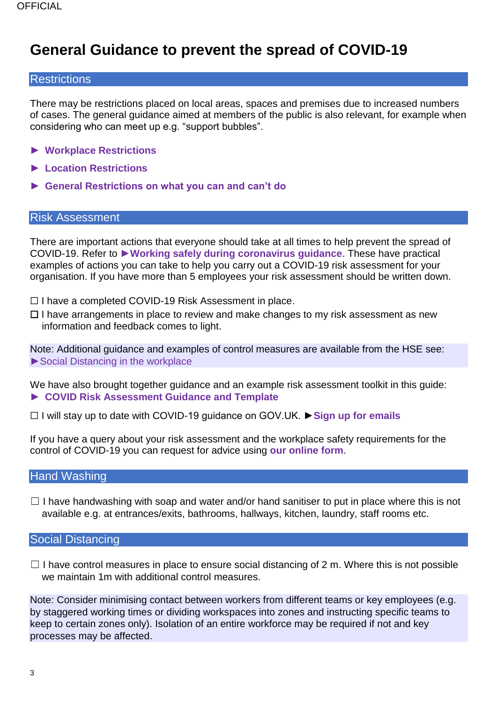## **General Guidance to prevent the spread of COVID-19**

#### **Restrictions**

There may be restrictions placed on local areas, spaces and premises due to increased numbers of cases. The general guidance aimed at members of the public is also relevant, for example when considering who can meet up e.g. "support bubbles".

- ► **[Workplace Restrictions](https://www.gov.uk/government/publications/further-businesses-and-premises-to-close)**
- ► **[Location Restrictions](https://www.gov.uk/government/collections/local-restrictions-areas-with-an-outbreak-of-coronavirus-covid-19)**
- ► **[General Restrictions on what you can and can't do](https://www.gov.uk/government/publications/coronavirus-outbreak-faqs-what-you-can-and-cant-do)**

#### Risk Assessment

There are important actions that everyone should take at all times to help prevent the spread of COVID-19. Refer to ►**[Working safely during coronavirus guidance](https://www.gov.uk/guidance/working-safely-during-coronavirus-covid-19)**. These have practical examples of actions you can take to help you carry out a COVID-19 risk assessment for your organisation. If you have more than 5 employees your risk assessment should be written down.

- ☐ I have a completed COVID-19 Risk Assessment in place.
- $\Box$  I have arrangements in place to review and make changes to my risk assessment as new information and feedback comes to light.

Note: Additional guidance and examples of control measures are available from the HSE see: ► Social Distancing in the workplace

We have also brought together guidance and an example risk assessment toolkit in this guide: ► **[COVID Risk Assessment Guidance and Template](https://www.heartofswgrowthhub.co.uk/wp-content/uploads/2020/09/COVID-19-RISK-ASSESSMENT-TOOLKIT.pdf)**

☐ I will stay up to date with COVID-19 guidance on GOV.UK. ►**[Sign up for emails](https://www.gov.uk/email-signup?topic=/coronavirus-taxon)**

If you have a query about your risk assessment and the workplace safety requirements for the control of COVID-19 you can request for advice using **[our online form](https://plymouth-self.achieveservice.com/AchieveForms/?mode=fill&consentMessage=yes&form_uri=sandbox-publish://AF-Process-36cb4def-52b8-4c44-93e6-24bcbd7303b2/AF-Stage-acdfe90d-baf2-4c09-ad75-c8e734014612/definition.json&process=1&process_uri=sandbox-processes://AF-Process-36cb4def-52b8-4c44-93e6-24bcbd7303b2&process_id=AF-Process-36cb4def-52b8-4c44-93e6-24bcbd7303b2)**.

#### Hand Washing

 $\Box$  I have handwashing with soap and water and/or hand sanitiser to put in place where this is not available e.g. at entrances/exits, bathrooms, hallways, kitchen, laundry, staff rooms etc.

#### Social Distancing

 $\Box$  I have control measures in place to ensure social distancing of 2 m. Where this is not possible we maintain 1m with additional control measures.

Note: Consider minimising contact between workers from different teams or key employees (e.g. by staggered working times or dividing workspaces into zones and instructing specific teams to keep to certain zones only). Isolation of an entire workforce may be required if not and key processes may be affected.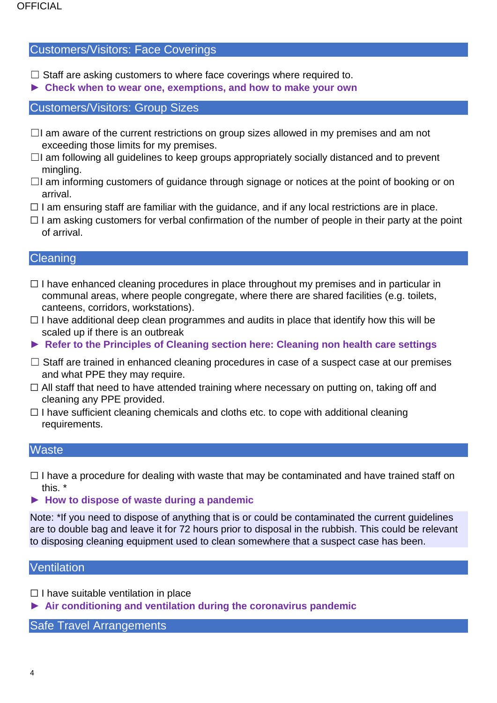#### Customers/Visitors: Face Coverings

- $\Box$  Staff are asking customers to where face coverings where required to.
- ► **[Check when to wear one, exemptions, and how to make your own](https://www.gov.uk/government/publications/face-coverings-when-to-wear-one-and-how-to-make-your-own/face-coverings-when-to-wear-one-and-how-to-make-your-own)**

#### Customers/Visitors: Group Sizes

- $\Box$ I am aware of the current restrictions on group sizes allowed in my premises and am not exceeding those limits for my premises.
- ☐I am following all guidelines to keep groups appropriately socially distanced and to prevent mingling.
- $\Box$ I am informing customers of guidance through signage or notices at the point of booking or on arrival.
- $\Box$  I am ensuring staff are familiar with the guidance, and if any local restrictions are in place.
- $\Box$  I am asking customers for verbal confirmation of the number of people in their party at the point of arrival.

#### **Cleaning**

- ☐ I have enhanced cleaning procedures in place throughout my premises and in particular in communal areas, where people congregate, where there are shared facilities (e.g. toilets, canteens, corridors, workstations).
- $\Box$  I have additional deep clean programmes and audits in place that identify how this will be scaled up if there is an outbreak
- ► **[Refer to the Principles of Cleaning section here: Cleaning non health care settings](https://www.gov.uk/government/publications/covid-19-decontamination-in-non-healthcare-settings/covid-19-decontamination-in-non-healthcare-settings)**
- □ Staff are trained in enhanced cleaning procedures in case of a suspect case at our premises and what PPE they may require.
- □ All staff that need to have attended training where necessary on putting on, taking off and cleaning any PPE provided.
- $\Box$  I have sufficient cleaning chemicals and cloths etc. to cope with additional cleaning requirements.

#### **Waste**

 $\Box$  I have a procedure for dealing with waste that may be contaminated and have trained staff on this. \*

#### ► **How to [dispose of waste during a pandemic](https://www.gov.uk/guidance/coronavirus-covid-19-disposing-of-waste)**

Note: \*If you need to dispose of anything that is or could be contaminated the current guidelines are to double bag and leave it for 72 hours prior to disposal in the rubbish. This could be relevant to disposing cleaning equipment used to clean somewhere that a suspect case has been.

#### **Ventilation**

- ☐ I have suitable ventilation in place
- ► **[Air conditioning and ventilation during the coronavirus pandemic](https://www.hse.gov.uk/coronavirus/equipment-and-machinery/air-conditioning-and-ventilation.htm)**

Safe Travel Arrangements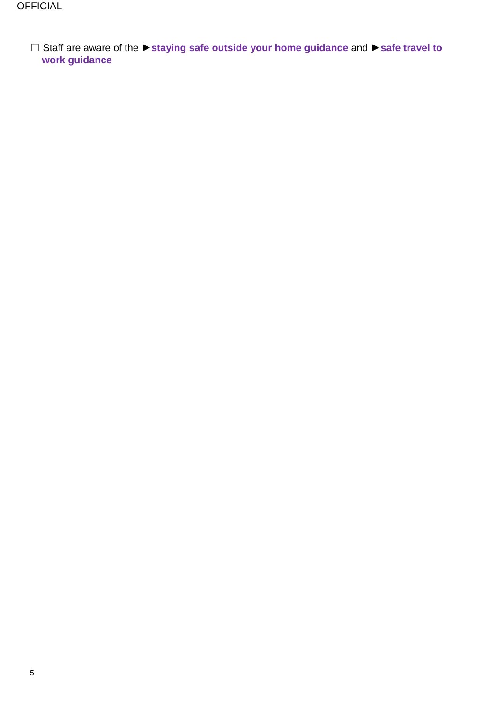☐ Staff are aware of the ►**[staying safe outside your home guidance](https://www.gov.uk/government/publications/staying-safe-outside-your-home/staying-safe-outside-your-home)** and ►**[safe travel to](https://www.gov.uk/guidance/coronavirus-covid-19-safer-travel-guidance-for-passengers) [work guidance](https://www.gov.uk/guidance/coronavirus-covid-19-safer-travel-guidance-for-passengers)**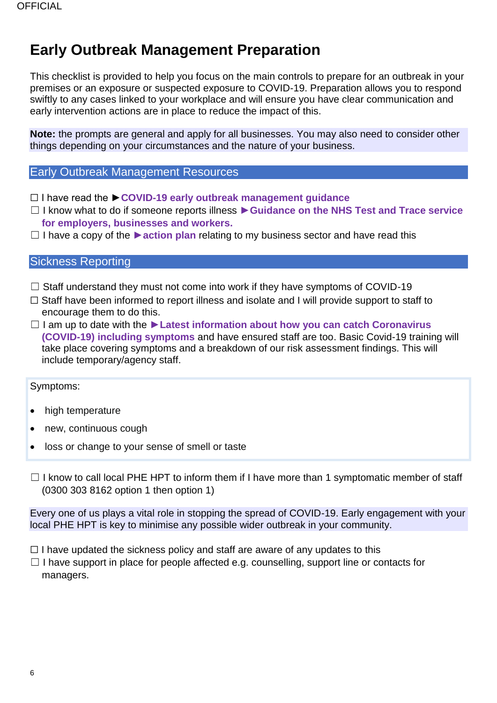## <span id="page-5-0"></span>**Early Outbreak Management Preparation**

This checklist is provided to help you focus on the main controls to prepare for an outbreak in your premises or an exposure or suspected exposure to COVID-19. Preparation allows you to respond swiftly to any cases linked to your workplace and will ensure you have clear communication and early intervention actions are in place to reduce the impact of this.

**Note:** the prompts are general and apply for all businesses. You may also need to consider other things depending on your circumstances and the nature of your business.

#### Early Outbreak Management Resources

- ☐ I have read the ►**[COVID-19 early outbreak management guidance](https://www.gov.uk/government/publications/reporting-outbreaks-of-coronavirus-covid-19/covid-19-early-outbreak-management)**
- ☐ I know what to do if someone reports illness ►**[Guidance on the NHS Test and Trace service](https://www.gov.uk/guidance/nhs-test-and-trace-workplace-guidance#guidance-for-employers)  [for employers, businesses and workers.](https://www.gov.uk/guidance/nhs-test-and-trace-workplace-guidance#guidance-for-employers)**
- ☐ I have a copy of the ►**[action plan](https://coronavirusresources.phe.gov.uk/reporting-an-outbreak/resources/)** relating to my business sector and have read this

#### Sickness Reporting

- $\Box$  Staff understand they must not come into work if they have symptoms of COVID-19
- □ Staff have been informed to report illness and isolate and I will provide support to staff to encourage them to do this.
- ☐ I am up to date with the **[►Latest information about how you can catch Coronavirus](https://www.nhs.uk/conditions/coronavirus-covid-19/)  [\(COVID-19\) including symptoms](https://www.nhs.uk/conditions/coronavirus-covid-19/)** and have ensured staff are too. Basic Covid-19 training will take place covering symptoms and a breakdown of our risk assessment findings. This will include temporary/agency staff.

#### Symptoms:

- high temperature
- new, continuous cough
- loss or change to your sense of smell or taste
- $\Box$  I know to call local PHE HPT to inform them if I have more than 1 symptomatic member of staff (0300 303 8162 option 1 then option 1)

Every one of us plays a vital role in stopping the spread of COVID-19. Early engagement with your local PHE HPT is key to minimise any possible wider outbreak in your community.

- $\Box$  I have updated the sickness policy and staff are aware of any updates to this
- $\Box$  I have support in place for people affected e.g. counselling, support line or contacts for managers.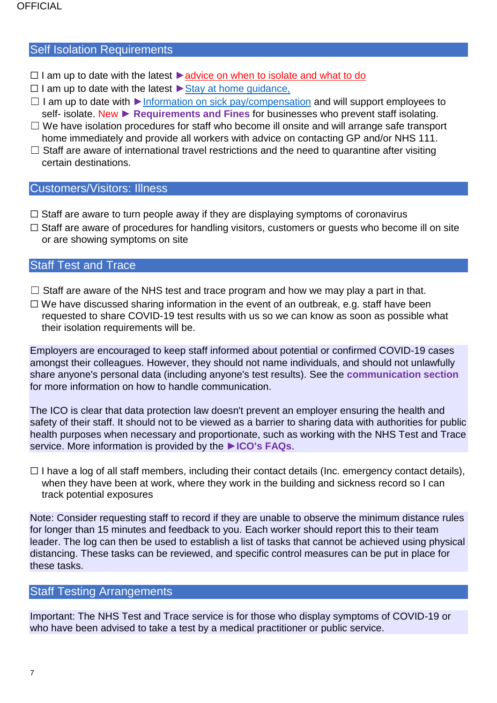#### Self Isolation Requirements

- ☐ I am up to date with the latest [►advice on when to isolate and what to do](https://www.nhs.uk/conditions/coronavirus-covid-19/self-isolation-and-treatment/when-to-self-isolate-and-what-to-do/)
- ☐ I am up to date with the latest [►Stay at home guidance,](https://www.gov.uk/government/publications/covid-19-stay-at-home-guidance)
- ☐ I am up to date with [►Information on sick pay/compensation](https://www.gov.uk/statutory-sick-pay) and will support employees to self- isolate. New ► **[Requirements and Fines](https://www.gov.uk/government/news/new-package-to-support-and-enforce-self-isolation?utm_source=9bbf854f-0ede-4ae1-a21e-4e4b2c859357&utm_medium=email&utm_campaign=govuk-notifications&utm_content=immediate)** for businesses who prevent staff isolating.
- $\Box$  We have isolation procedures for staff who become ill onsite and will arrange safe transport home immediately and provide all workers with advice on contacting GP and/or NHS 111.
- $\Box$  Staff are aware of international travel restrictions and the need to quarantine after visiting certain destinations.

#### <span id="page-6-0"></span>Customers/Visitors: Illness

- $\Box$  Staff are aware to turn people away if they are displaying symptoms of coronavirus
- □ Staff are aware of procedures for handling visitors, customers or quests who become ill on site or are showing symptoms on site

#### Staff Test and Trace

- $\Box$  Staff are aware of the NHS test and trace program and how we may play a part in that.
- $\Box$  We have discussed sharing information in the event of an outbreak, e.g. staff have been requested to share COVID-19 test results with us so we can know as soon as possible what their isolation requirements will be.

Employers are encouraged to keep staff informed about potential or confirmed COVID-19 cases amongst their colleagues. However, they should not name individuals, and should not unlawfully share anyone's personal data (including anyone's test results). See the **[communication section](#page-10-0)** for more information on how to handle communication.

The ICO is clear that data protection law doesn't prevent an employer ensuring the health and safety of their staff. It should not to be viewed as a barrier to sharing data with authorities for public health purposes when necessary and proportionate, such as working with the NHS Test and Trace service. More information is provided by the ►**[ICO's FAQs](https://ico.org.uk/global/data-protection-and-coronavirus-information-hub/coronavirus-recovery-data-protection-advice-for-organisations/testing/)**.

 $\Box$  I have a log of all staff members, including their contact details (Inc. emergency contact details), when they have been at work, where they work in the building and sickness record so I can track potential exposures

Note: Consider requesting staff to record if they are unable to observe the minimum distance rules for longer than 15 minutes and feedback to you. Each worker should report this to their team leader. The log can then be used to establish a list of tasks that cannot be achieved using physical distancing. These tasks can be reviewed, and specific control measures can be put in place for these tasks.

#### Staff Testing Arrangements

Important: The NHS Test and Trace service is for those who display symptoms of COVID-19 or who have been advised to take a test by a medical practitioner or public service.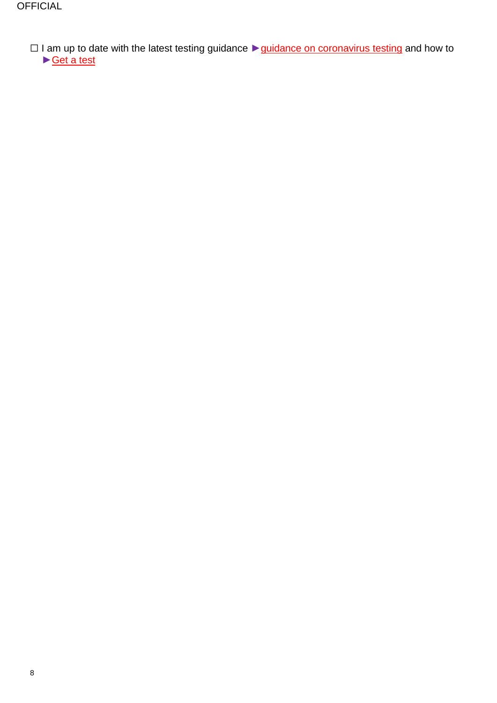```
☐ I am up to date with the latest testing guidance ►guidance on coronavirus testing and how to 
►Get a test
```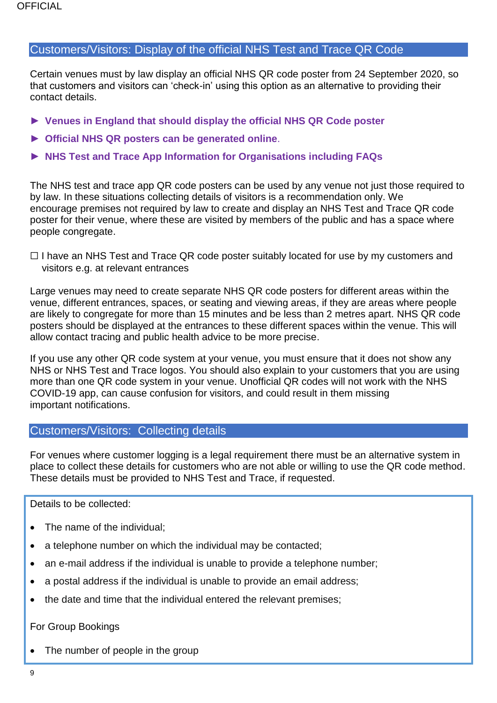#### Customers/Visitors: Display of the official NHS Test and Trace QR Code

Certain venues must by law display an official NHS QR code poster from 24 September 2020, so that customers and visitors can 'check-in' using this option as an alternative to providing their contact details.

- ► **[Venues in England that should display the official NHS QR Code poster](https://faq.covid19.nhs.uk/article/KA-01183/en-us?parentid=CAT-01043&rootid=CAT-01027)**
- ► **[Official NHS QR posters can be generated online](https://www.gov.uk/create-coronavirus-qr-poster)**.
- ► **[NHS Test and Trace App Information for Organisations including FAQs](https://covid19.nhs.uk/information-for-businesses.html)**

The NHS test and trace app QR code posters can be used by any venue not just those required to by law. In these situations collecting details of visitors is a recommendation only. We encourage premises not required by law to create and display an NHS Test and Trace QR code poster for their venue, where these are visited by members of the public and has a space where people congregate.

 $\Box$  I have an NHS Test and Trace QR code poster suitably located for use by my customers and visitors e.g. at relevant entrances

Large venues may need to create separate NHS QR code posters for different areas within the venue, different entrances, spaces, or seating and viewing areas, if they are areas where people are likely to congregate for more than 15 minutes and be less than 2 metres apart. NHS QR code posters should be displayed at the entrances to these different spaces within the venue. This will allow contact tracing and public health advice to be more precise.

If you use any other QR code system at your venue, you must ensure that it does not show any NHS or NHS Test and Trace logos. You should also explain to your customers that you are using more than one QR code system in your venue. Unofficial QR codes will not work with the NHS COVID-19 app, can cause confusion for visitors, and could result in them missing important notifications.

#### Customers/Visitors: Collecting details

For venues where customer logging is a legal requirement there must be an alternative system in place to collect these details for customers who are not able or willing to use the QR code method. These details must be provided to NHS Test and Trace, if requested.

Details to be collected:

- The name of the individual:
- a telephone number on which the individual may be contacted;
- an e-mail address if the individual is unable to provide a telephone number;
- a postal address if the individual is unable to provide an email address;
- the date and time that the individual entered the relevant premises;

#### For Group Bookings

• The number of people in the group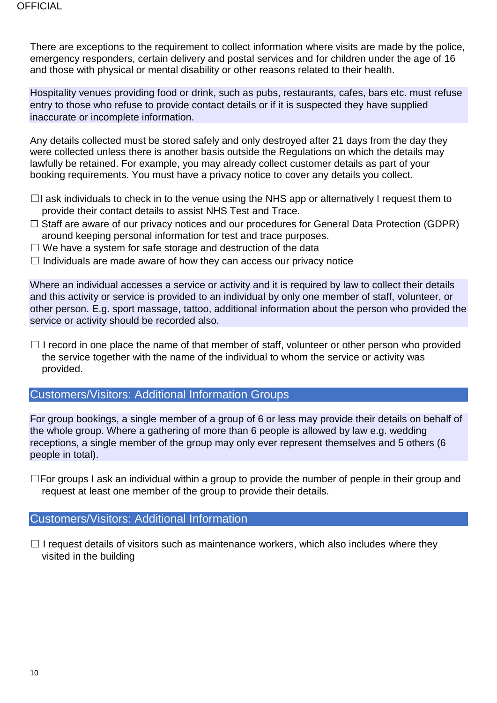There are exceptions to the requirement to collect information where visits are made by the police, emergency responders, certain delivery and postal services and for children under the age of 16 and those with physical or mental disability or other reasons related to their health.

Hospitality venues providing food or drink, such as pubs, restaurants, cafes, bars etc. must refuse entry to those who refuse to provide contact details or if it is suspected they have supplied inaccurate or incomplete information.

Any details collected must be stored safely and only destroyed after 21 days from the day they were collected unless there is another basis outside the Regulations on which the details may lawfully be retained. For example, you may already collect customer details as part of your booking requirements. You must have a privacy notice to cover any details you collect.

- $\Box$ I ask individuals to check in to the venue using the NHS app or alternatively I request them to provide their contact details to assist NHS Test and Trace.
- ☐ Staff are aware of our privacy notices and our procedures for General Data Protection (GDPR) around keeping personal information for test and trace purposes.
- $\Box$  We have a system for safe storage and destruction of the data
- $\Box$  Individuals are made aware of how they can access our privacy notice

Where an individual accesses a service or activity and it is required by law to collect their details and this activity or service is provided to an individual by only one member of staff, volunteer, or other person. E.g. sport massage, tattoo, additional information about the person who provided the service or activity should be recorded also.

 $\Box$  I record in one place the name of that member of staff, volunteer or other person who provided the service together with the name of the individual to whom the service or activity was provided.

#### Customers/Visitors: Additional Information Groups

For group bookings, a single member of a group of 6 or less may provide their details on behalf of the whole group. Where a gathering of more than 6 people is allowed by law e.g. wedding receptions, a single member of the group may only ever represent themselves and 5 others (6 people in total).

 $\square$  For groups I ask an individual within a group to provide the number of people in their group and request at least one member of the group to provide their details.

#### Customers/Visitors: Additional Information

 $\Box$  I request details of visitors such as maintenance workers, which also includes where they visited in the building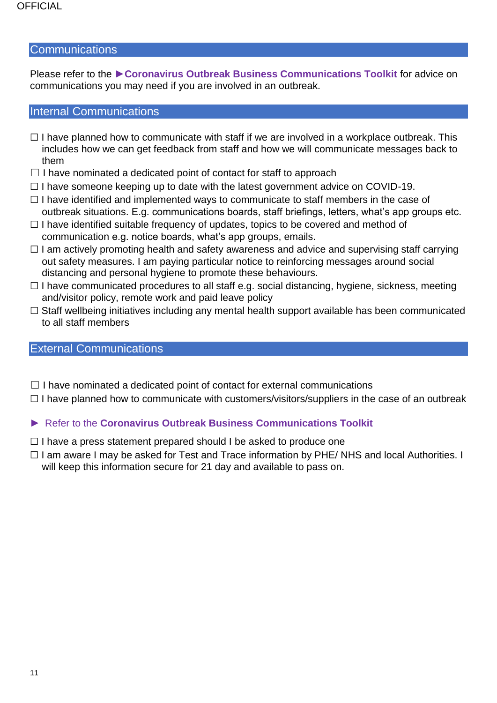#### **Communications**

Please refer to the ►**[Coronavirus Outbreak Business Communications Toolkit](https://www.visitplymouth.co.uk/dbimgs/Coronavirus%20Outbreak%20Toolkit%20PLYMOUTH.pdf)** for advice on communications you may need if you are involved in an outbreak.

#### <span id="page-10-0"></span>Internal Communications

- $\Box$  I have planned how to communicate with staff if we are involved in a workplace outbreak. This includes how we can get feedback from staff and how we will communicate messages back to them
- $\Box$  I have nominated a dedicated point of contact for staff to approach
- ☐ I have someone keeping up to date with the latest government advice on COVID-19.
- $\Box$  I have identified and implemented ways to communicate to staff members in the case of outbreak situations. E.g. communications boards, staff briefings, letters, what's app groups etc.
- ☐ I have identified suitable frequency of updates, topics to be covered and method of communication e.g. notice boards, what's app groups, emails.
- $\Box$  I am actively promoting health and safety awareness and advice and supervising staff carrying out safety measures. I am paying particular notice to reinforcing messages around social distancing and personal hygiene to promote these behaviours.
- ☐ I have communicated procedures to all staff e.g. social distancing, hygiene, sickness, meeting and/visitor policy, remote work and paid leave policy
- ☐ Staff wellbeing initiatives including any mental health support available has been communicated to all staff members

#### External Communications

- $\Box$  I have nominated a dedicated point of contact for external communications
- $\Box$  I have planned how to communicate with customers/visitors/suppliers in the case of an outbreak

#### ► Refer to the **[Coronavirus Outbreak Business Communications Toolkit](https://www.visitplymouth.co.uk/dbimgs/Coronavirus%20Outbreak%20Toolkit%20PLYMOUTH.pdf)**

- $\Box$  I have a press statement prepared should I be asked to produce one
- ☐ I am aware I may be asked for Test and Trace information by PHE/ NHS and local Authorities. I will keep this information secure for 21 day and available to pass on.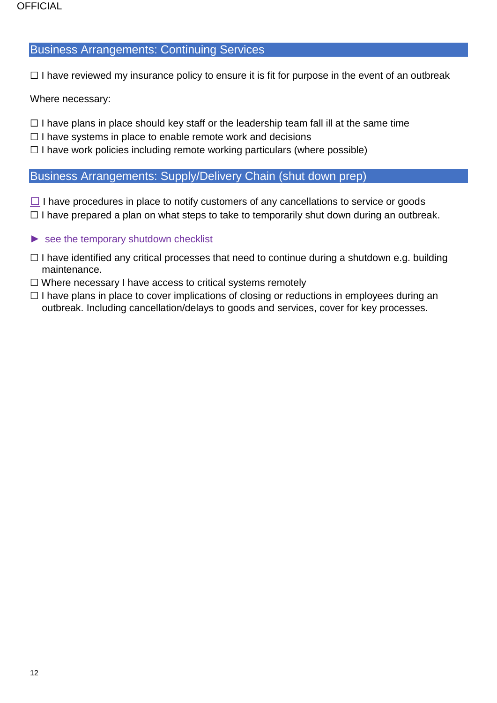#### Business Arrangements: Continuing Services

 $\Box$  I have reviewed my insurance policy to ensure it is fit for purpose in the event of an outbreak

Where necessary:

- $\Box$  I have plans in place should key staff or the leadership team fall ill at the same time
- $\Box$  I have systems in place to enable remote work and decisions
- $\Box$  I have work policies including remote working particulars (where possible)

#### Business Arrangements: Supply/Delivery Chain (shut down prep)

- $\Box$  I have procedures in place to notify customers of any cancellations to service or goods  $\Box$  I have prepared a plan on what steps to take to temporarily shut down during an outbreak.
- $\blacktriangleright$  [see the temporary shutdown checklist](#page-17-0)
- $\Box$  I have identified any critical processes that need to continue during a shutdown e.g. building maintenance.
- ☐ Where necessary I have access to critical systems remotely
- $\Box$  I have plans in place to cover implications of closing or reductions in employees during an outbreak. Including cancellation/delays to goods and services, cover for key processes.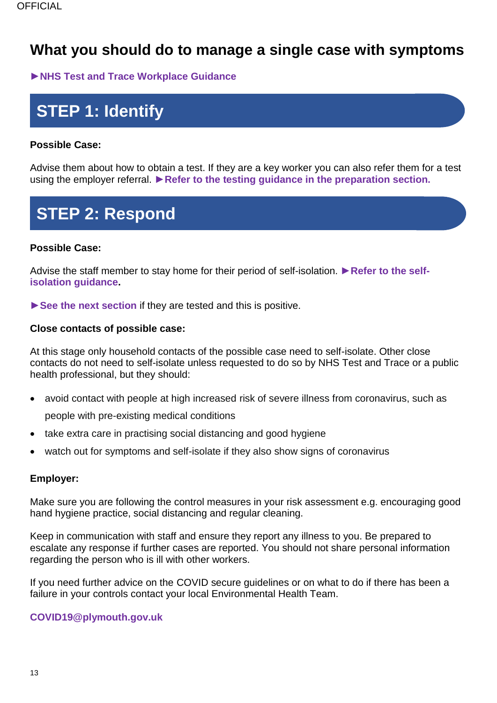## <span id="page-12-0"></span>**What you should do to manage a single case with symptoms**

►**[NHS Test and Trace Workplace Guidance](https://www.gov.uk/guidance/nhs-test-and-trace-workplace-guidance?utm_source=3ad1e505-7776-4963-b366-f718239cf904&utm_medium=email&utm_campaign=govuk-notifications&utm_content=immediate)**

# **STEP 1: Identify**

#### **Possible Case:**

Advise them about how to obtain a test. If they are a key worker you can also refer them for a test using the employer referral. ►**[Refer to the testing guidance in the preparation section.](#page-6-0)**

# **STEP 2: Respond**

#### **Possible Case:**

Advise the staff member to stay home for their period of self-isolation. ►**[Refer to the self](https://www.nhs.uk/conditions/coronavirus-covid-19/self-isolation-and-treatment/how-long-to-self-isolate/)[isolation guidance.](https://www.nhs.uk/conditions/coronavirus-covid-19/self-isolation-and-treatment/how-long-to-self-isolate/)**

►**[See the next section](#page-13-0)** if they are tested and this is positive.

#### **Close contacts of possible case:**

At this stage only household contacts of the possible case need to self-isolate. Other close contacts do not need to self-isolate unless requested to do so by NHS Test and Trace or a public health professional, but they should:

- avoid contact with people at high increased risk of severe illness from coronavirus, such as people with pre-existing medical conditions
- take extra care in practising social distancing and good hygiene
- watch out for symptoms and self-isolate if they also show signs of coronavirus

#### **Employer:**

Make sure you are following the control measures in your risk assessment e.g. encouraging good hand hygiene practice, social distancing and regular cleaning.

Keep in communication with staff and ensure they report any illness to you. Be prepared to escalate any response if further cases are reported. You should not share personal information regarding the person who is ill with other workers.

If you need further advice on the COVID secure guidelines or on what to do if there has been a failure in your controls contact your local Environmental Health Team.

#### **[COVID19@plymouth.gov.uk](mailto:COVID19@plymouth.gov.uk)**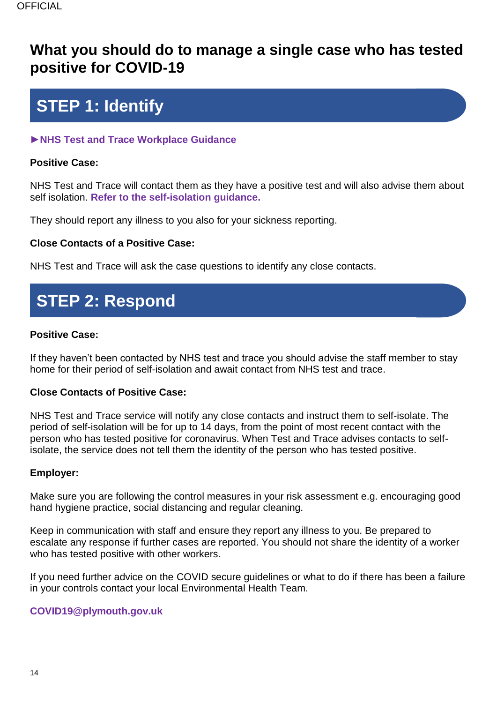## <span id="page-13-0"></span>**What you should do to manage a single case who has tested positive for COVID-19**

# **STEP 1: Identify**

### ►**[NHS Test and Trace Workplace Guidance](https://www.gov.uk/guidance/nhs-test-and-trace-workplace-guidance?utm_source=3ad1e505-7776-4963-b366-f718239cf904&utm_medium=email&utm_campaign=govuk-notifications&utm_content=immediate)**

### **Positive Case:**

NHS Test and Trace will contact them as they have a positive test and will also advise them about self isolation. **[Refer to the self-isolation guidance.](https://www.nhs.uk/conditions/coronavirus-covid-19/self-isolation-and-treatment/how-long-to-self-isolate/)**

They should report any illness to you also for your sickness reporting.

### **Close Contacts of a Positive Case:**

NHS Test and Trace will ask the case questions to identify any close contacts.

# **STEP 2: Respond**

#### **Positive Case:**

If they haven't been contacted by NHS test and trace you should advise the staff member to stay home for their period of self-isolation and await contact from NHS test and trace.

#### **Close Contacts of Positive Case:**

NHS Test and Trace service will notify any close contacts and instruct them to self-isolate. The period of self-isolation will be for up to 14 days, from the point of most recent contact with the person who has tested positive for coronavirus. When Test and Trace advises contacts to selfisolate, the service does not tell them the identity of the person who has tested positive.

#### **Employer:**

Make sure you are following the control measures in your risk assessment e.g. encouraging good hand hygiene practice, social distancing and regular cleaning.

Keep in communication with staff and ensure they report any illness to you. Be prepared to escalate any response if further cases are reported. You should not share the identity of a worker who has tested positive with other workers.

If you need further advice on the COVID secure guidelines or what to do if there has been a failure in your controls contact your local Environmental Health Team.

#### <span id="page-13-1"></span>**[COVID19@plymouth.gov.uk](mailto:COVID19@plymouth.gov.uk)**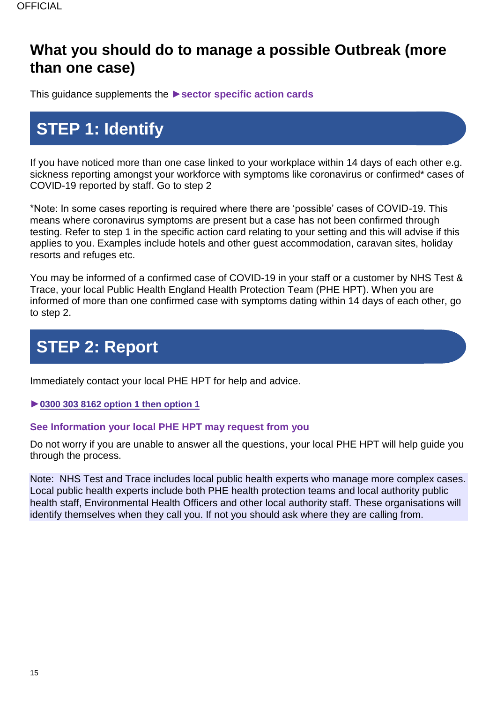## **What you should do to manage a possible Outbreak (more than one case)**

This guidance supplements the ►**[sector specific action cards](https://www.gov.uk/government/publications/reporting-outbreaks-of-coronavirus-covid-19/covid-19-early-outbreak-management#when-to-use-the-early-outbreak-management-action-cards)**

# **STEP 1: Identify**

If you have noticed more than one case linked to your workplace within 14 days of each other e.g. sickness reporting amongst your workforce with symptoms like coronavirus or confirmed\* cases of COVID-19 reported by staff. Go to step 2

\*Note: In some cases reporting is required where there are 'possible' cases of COVID-19. This means where coronavirus symptoms are present but a case has not been confirmed through testing. Refer to step 1 in the specific action card relating to your setting and this will advise if this applies to you. Examples include hotels and other guest accommodation, caravan sites, holiday resorts and refuges etc.

You may be informed of a confirmed case of COVID-19 in your staff or a customer by NHS Test & Trace, your local Public Health England Health Protection Team (PHE HPT). When you are informed of more than one confirmed case with symptoms dating within 14 days of each other, go to step 2.

# **STEP 2: Report**

Immediately contact your local PHE HPT for help and advice.

►**0300 303 8162 option 1 then option 1**

#### **[See Information your local PHE HPT may request from you](#page-13-0)**

Do not worry if you are unable to answer all the questions, your local PHE HPT will help guide you through the process.

Note: NHS Test and Trace includes local public health experts who manage more complex cases. Local public health experts include both PHE health protection teams and local authority public health staff, Environmental Health Officers and other local authority staff. These organisations will identify themselves when they call you. If not you should ask where they are calling from.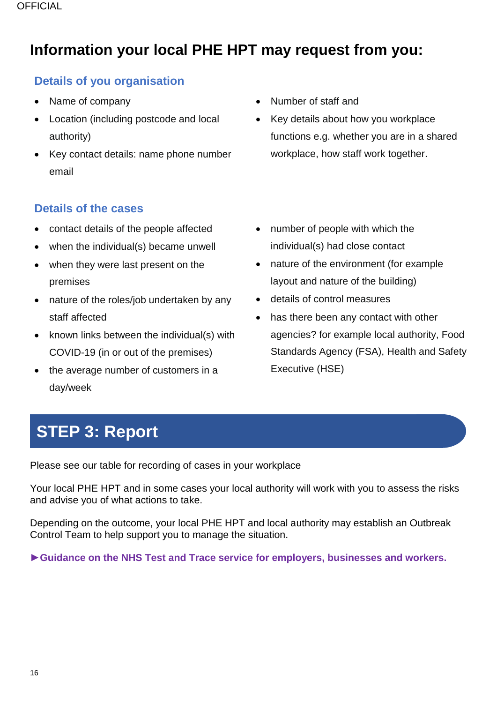## <span id="page-15-0"></span>**Information your local PHE HPT may request from you:**

### **Details of you organisation**

- Name of company
- Location (including postcode and local authority)
- Key contact details: name phone number email

### **Details of the cases**

- contact details of the people affected
- when the individual(s) became unwell
- when they were last present on the premises
- nature of the roles/job undertaken by any staff affected
- known links between the individual(s) with COVID-19 (in or out of the premises)
- the average number of customers in a day/week
- Number of staff and
- Key details about how you workplace functions e.g. whether you are in a shared workplace, how staff work together.
- number of people with which the individual(s) had close contact
- nature of the environment (for example layout and nature of the building)
- details of control measures
- has there been any contact with other agencies? for example local authority, Food Standards Agency (FSA), Health and Safety Executive (HSE)

# **STEP 3: Report**

[Please see our table for recording of cases in your workplace](#page-19-0)

Your local PHE HPT and in some cases your local authority will work with you to assess the risks and advise you of what actions to take.

Depending on the outcome, your local PHE HPT and local authority may establish an Outbreak Control Team to help support you to manage the situation.

►**[Guidance on the NHS Test and Trace service for employers, businesses and workers.](https://www.gov.uk/guidance/nhs-test-and-trace-workplace-guidance#guidance-for-employers)**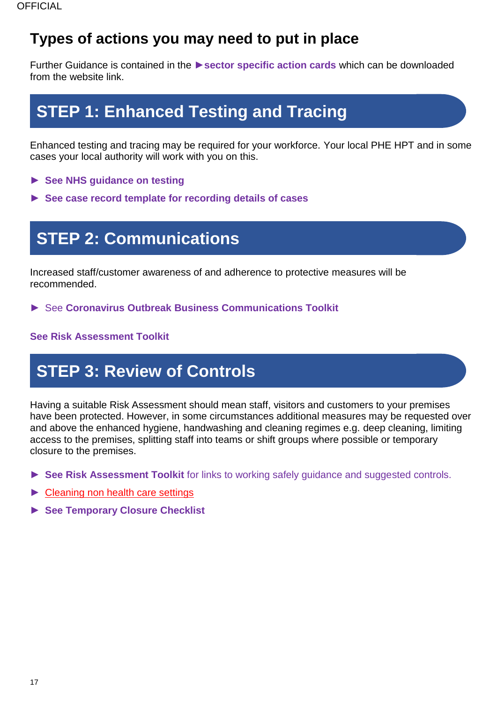## <span id="page-16-0"></span>**Types of actions you may need to put in place**

Further Guidance is contained in the ►**[sector specific action cards](https://www.gov.uk/government/publications/reporting-outbreaks-of-coronavirus-covid-19/covid-19-early-outbreak-management#when-to-use-the-early-outbreak-management-action-cards)** which can be downloaded from the website link.

# **STEP 1: Enhanced Testing and Tracing**

Enhanced testing and tracing may be required for your workforce. Your local PHE HPT and in some cases your local authority will work with you on this.

- ► **[See NHS guidance on testing](https://www.gov.uk/guidance/nhs-test-and-trace-workplace-guidance?utm_source=3ad1e505-7776-4963-b366-f718239cf904&utm_medium=email&utm_campaign=govuk-notifications&utm_content=immediate)**
- ► **[See case record template for recording details of cases](#page-19-0)**

## **STEP 2: Communications**

Increased staff/customer awareness of and adherence to protective measures will be recommended.

► See **[Coronavirus Outbreak Business Communications Toolkit](https://www.visitplymouth.co.uk/dbimgs/Coronavirus%20Outbreak%20Toolkit%20PLYMOUTH.pdf)**

#### **[See Risk Assessment Toolkit](https://www.heartofswgrowthhub.co.uk/wp-content/uploads/2020/09/COVID-19-RISK-ASSESSMENT-TOOLKIT.pdf)**

# **STEP 3: Review of Controls**

Having a suitable Risk Assessment should mean staff, visitors and customers to your premises have been protected. However, in some circumstances additional measures may be requested over and above the enhanced hygiene, handwashing and cleaning regimes e.g. deep cleaning, limiting access to the premises, splitting staff into teams or shift groups where possible or temporary closure to the premises.

- ► **[See Risk Assessment Toolkit](https://www.heartofswgrowthhub.co.uk/wp-content/uploads/2020/09/COVID-19-RISK-ASSESSMENT-TOOLKIT.pdf)** for links to working safely guidance and suggested controls.
- ► [Cleaning non health care settings](https://www.gov.uk/government/publications/covid-19-decontamination-in-non-healthcare-settings/covid-19-decontamination-in-non-healthcare-settings)
- <span id="page-16-1"></span>► **[See Temporary Closure Checklist](#page-16-1)**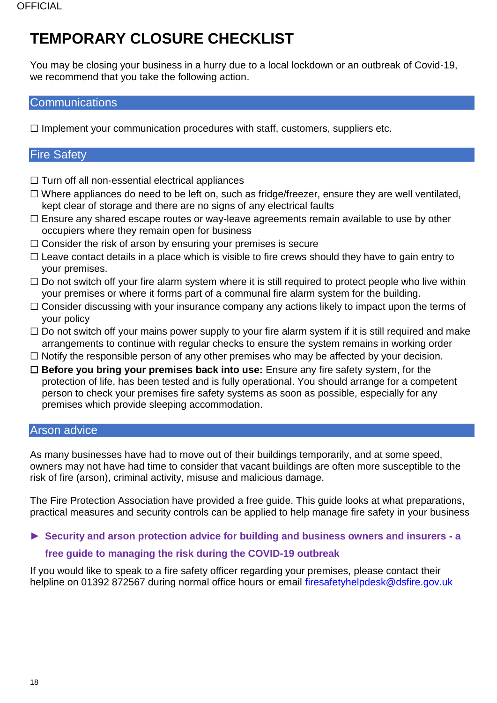## <span id="page-17-0"></span>**TEMPORARY CLOSURE CHECKLIST**

You may be closing your business in a hurry due to a local lockdown or an outbreak of Covid-19, we recommend that you take the following action.

### **Communications**

 $\Box$  Implement your communication procedures with staff, customers, suppliers etc.

### Fire Safety

- $\Box$  Turn off all non-essential electrical appliances
- ☐ Where appliances do need to be left on, such as fridge/freezer, ensure they are well ventilated, kept clear of storage and there are no signs of any electrical faults
- ☐ Ensure any shared escape routes or way-leave agreements remain available to use by other occupiers where they remain open for business
- □ Consider the risk of arson by ensuring your premises is secure
- $\Box$  Leave contact details in a place which is visible to fire crews should they have to gain entry to your premises.
- $\Box$  Do not switch off your fire alarm system where it is still required to protect people who live within your premises or where it forms part of a communal fire alarm system for the building.
- $\Box$  Consider discussing with your insurance company any actions likely to impact upon the terms of your policy
- $\Box$  Do not switch off your mains power supply to your fire alarm system if it is still required and make arrangements to continue with regular checks to ensure the system remains in working order
- $\Box$  Notify the responsible person of any other premises who may be affected by your decision.
- ☐ **Before you bring your premises back into use:** Ensure any fire safety system, for the protection of life, has been tested and is fully operational. You should arrange for a competent person to check your premises fire safety systems as soon as possible, especially for any premises which provide sleeping accommodation.

#### Arson advice

As many businesses have had to move out of their buildings temporarily, and at some speed, owners may not have had time to consider that vacant buildings are often more susceptible to the risk of fire (arson), criminal activity, misuse and malicious damage.

The Fire Protection Association have provided a free guide. This guide looks at what preparations, practical measures and security controls can be applied to help manage fire safety in your business

### ► **[Security and arson protection advice for building and business owners and insurers -](https://www.thefpa.co.uk/index.cfm?originalUrl=news/news/news_detail.security-and-arson-protection-advice-for-building-and-business-owners-and-insurers-a-free-guide-to-managing-the-risk-during-the-covid-19-outbreak.html) a [free guide to managing the risk during the COVID-19 outbreak](https://www.thefpa.co.uk/index.cfm?originalUrl=news/news/news_detail.security-and-arson-protection-advice-for-building-and-business-owners-and-insurers-a-free-guide-to-managing-the-risk-during-the-covid-19-outbreak.html)**

If you would like to speak to a fire safety officer regarding your premises, please contact their helpline on 01392 872567 during normal office hours or email [firesafetyhelpdesk@dsfire.gov.uk](mailto:firesafetyhelpdesk@dsfire.gov.uk)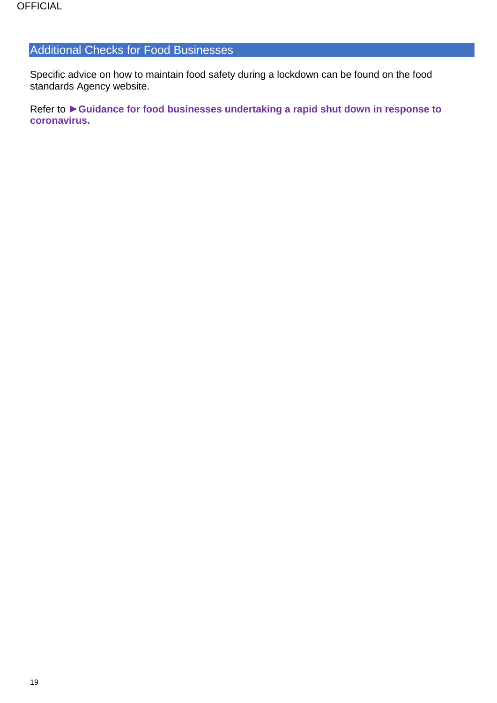### Additional Checks for Food Businesses

Specific advice on how to maintain food safety during a lockdown can be found on the food standards Agency website.

Refer to ►**[Guidance for food businesses undertaking a rapid shut down in response to](https://www.food.gov.uk/business-guidance/guidance-for-food-businesses-undertaking-a-rapid-shut-down-in-response-to-coronavirus-covid-19)  [coronavirus.](https://www.food.gov.uk/business-guidance/guidance-for-food-businesses-undertaking-a-rapid-shut-down-in-response-to-coronavirus-covid-19)**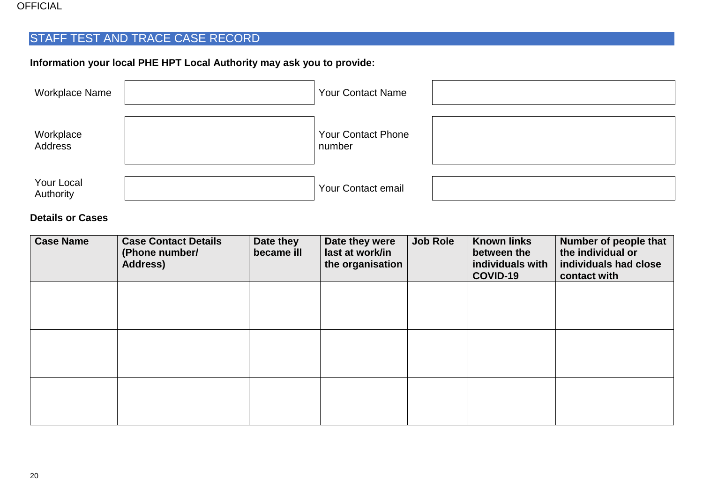#### OFFICIAL

## STAFF TEST AND TRACE CASE RECORD

### **Information your local PHE HPT Local Authority may ask you to provide:**

| <b>Workplace Name</b>   | <b>Your Contact Name</b>            |  |
|-------------------------|-------------------------------------|--|
| Workplace<br>Address    | <b>Your Contact Phone</b><br>number |  |
| Your Local<br>Authority | <b>Your Contact email</b>           |  |

### **Details or Cases**

<span id="page-19-0"></span>

| <b>Case Name</b> | <b>Case Contact Details</b><br>(Phone number/<br><b>Address)</b> | Date they<br>became ill | Date they were<br>last at work/in<br>the organisation | <b>Job Role</b> | <b>Known links</b><br>between the<br>individuals with<br>COVID-19 | Number of people that<br>the individual or<br>individuals had close<br>contact with |
|------------------|------------------------------------------------------------------|-------------------------|-------------------------------------------------------|-----------------|-------------------------------------------------------------------|-------------------------------------------------------------------------------------|
|                  |                                                                  |                         |                                                       |                 |                                                                   |                                                                                     |
|                  |                                                                  |                         |                                                       |                 |                                                                   |                                                                                     |
|                  |                                                                  |                         |                                                       |                 |                                                                   |                                                                                     |